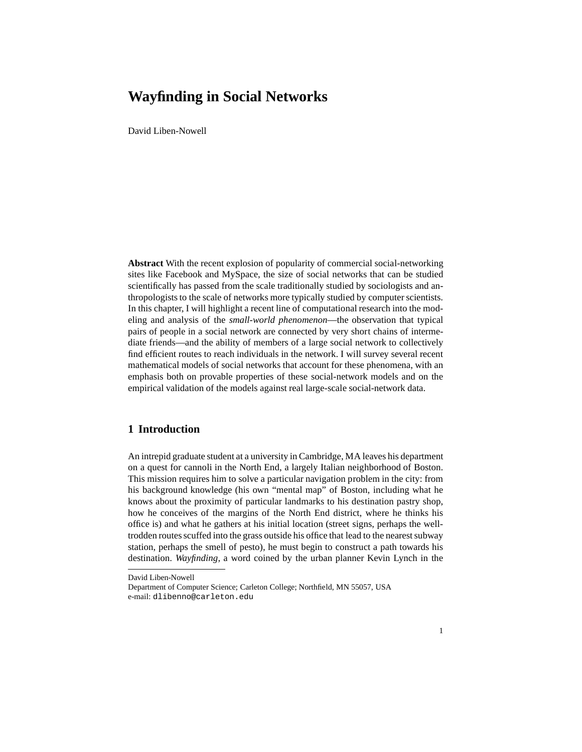David Liben-Nowell

**Abstract** With the recent explosion of popularity of commercial social-networking sites like Facebook and MySpace, the size of social networks that can be studied scientifically has passed from the scale traditionally studied by sociologists and anthropologists to the scale of networks more typically studied by computer scientists. In this chapter, I will highlight a recent line of computational research into the modeling and analysis of the *small-world phenomenon*—the observation that typical pairs of people in a social network are connected by very short chains of intermediate friends—and the ability of members of a large social network to collectively find efficient routes to reach individuals in the network. I will survey several recent mathematical models of social networks that account for these phenomena, with an emphasis both on provable properties of these social-network models and on the empirical validation of the models against real large-scale social-network data.

# **1 Introduction**

An intrepid graduate student at a university in Cambridge, MA leaves his department on a quest for cannoli in the North End, a largely Italian neighborhood of Boston. This mission requires him to solve a particular navigation problem in the city: from his background knowledge (his own "mental map" of Boston, including what he knows about the proximity of particular landmarks to his destination pastry shop, how he conceives of the margins of the North End district, where he thinks his office is) and what he gathers at his initial location (street signs, perhaps the welltrodden routes scuffed into the grass outside his office that lead to the nearest subway station, perhaps the smell of pesto), he must begin to construct a path towards his destination. *Wayfinding*, a word coined by the urban planner Kevin Lynch in the

David Liben-Nowell

Department of Computer Science; Carleton College; Northfield, MN 55057, USA e-mail: dlibenno@carleton.edu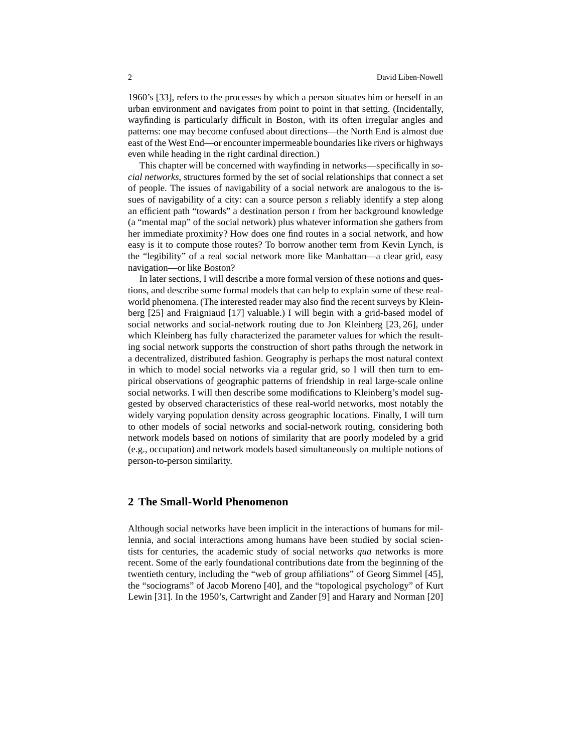1960's [33], refers to the processes by which a person situates him or herself in an urban environment and navigates from point to point in that setting. (Incidentally, wayfinding is particularly difficult in Boston, with its often irregular angles and patterns: one may become confused about directions—the North End is almost due east of the West End—or encounter impermeable boundaries like rivers or highways even while heading in the right cardinal direction.)

This chapter will be concerned with wayfinding in networks—specifically in *social networks*, structures formed by the set of social relationships that connect a set of people. The issues of navigability of a social network are analogous to the issues of navigability of a city: can a source person *s* reliably identify a step along an efficient path "towards" a destination person *t* from her background knowledge (a "mental map" of the social network) plus whatever information she gathers from her immediate proximity? How does one find routes in a social network, and how easy is it to compute those routes? To borrow another term from Kevin Lynch, is the "legibility" of a real social network more like Manhattan—a clear grid, easy navigation—or like Boston?

In later sections, I will describe a more formal version of these notions and questions, and describe some formal models that can help to explain some of these realworld phenomena. (The interested reader may also find the recent surveys by Kleinberg [25] and Fraigniaud [17] valuable.) I will begin with a grid-based model of social networks and social-network routing due to Jon Kleinberg [23, 26], under which Kleinberg has fully characterized the parameter values for which the resulting social network supports the construction of short paths through the network in a decentralized, distributed fashion. Geography is perhaps the most natural context in which to model social networks via a regular grid, so I will then turn to empirical observations of geographic patterns of friendship in real large-scale online social networks. I will then describe some modifications to Kleinberg's model suggested by observed characteristics of these real-world networks, most notably the widely varying population density across geographic locations. Finally, I will turn to other models of social networks and social-network routing, considering both network models based on notions of similarity that are poorly modeled by a grid (e.g., occupation) and network models based simultaneously on multiple notions of person-to-person similarity.

# **2 The Small-World Phenomenon**

Although social networks have been implicit in the interactions of humans for millennia, and social interactions among humans have been studied by social scientists for centuries, the academic study of social networks *qua* networks is more recent. Some of the early foundational contributions date from the beginning of the twentieth century, including the "web of group affiliations" of Georg Simmel [45], the "sociograms" of Jacob Moreno [40], and the "topological psychology" of Kurt Lewin [31]. In the 1950's, Cartwright and Zander [9] and Harary and Norman [20]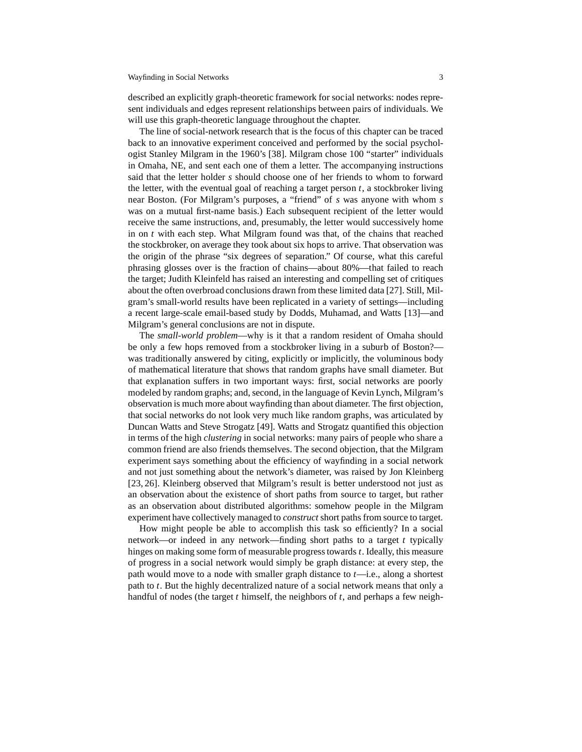described an explicitly graph-theoretic framework for social networks: nodes represent individuals and edges represent relationships between pairs of individuals. We will use this graph-theoretic language throughout the chapter.

The line of social-network research that is the focus of this chapter can be traced back to an innovative experiment conceived and performed by the social psychologist Stanley Milgram in the 1960's [38]. Milgram chose 100 "starter" individuals in Omaha, NE, and sent each one of them a letter. The accompanying instructions said that the letter holder *s* should choose one of her friends to whom to forward the letter, with the eventual goal of reaching a target person  $t$ , a stockbroker living near Boston. (For Milgram's purposes, a "friend" of *s* was anyone with whom *s* was on a mutual first-name basis.) Each subsequent recipient of the letter would receive the same instructions, and, presumably, the letter would successively home in on *t* with each step. What Milgram found was that, of the chains that reached the stockbroker, on average they took about six hops to arrive. That observation was the origin of the phrase "six degrees of separation." Of course, what this careful phrasing glosses over is the fraction of chains—about 80%—that failed to reach the target; Judith Kleinfeld has raised an interesting and compelling set of critiques about the often overbroad conclusions drawn from these limited data [27]. Still, Milgram's small-world results have been replicated in a variety of settings—including a recent large-scale email-based study by Dodds, Muhamad, and Watts [13]—and Milgram's general conclusions are not in dispute.

The *small-world problem*—why is it that a random resident of Omaha should be only a few hops removed from a stockbroker living in a suburb of Boston? was traditionally answered by citing, explicitly or implicitly, the voluminous body of mathematical literature that shows that random graphs have small diameter. But that explanation suffers in two important ways: first, social networks are poorly modeled by random graphs; and, second, in the language of Kevin Lynch, Milgram's observation is much more about wayfinding than about diameter. The first objection, that social networks do not look very much like random graphs, was articulated by Duncan Watts and Steve Strogatz [49]. Watts and Strogatz quantified this objection in terms of the high *clustering* in social networks: many pairs of people who share a common friend are also friends themselves. The second objection, that the Milgram experiment says something about the efficiency of wayfinding in a social network and not just something about the network's diameter, was raised by Jon Kleinberg [23, 26]. Kleinberg observed that Milgram's result is better understood not just as an observation about the existence of short paths from source to target, but rather as an observation about distributed algorithms: somehow people in the Milgram experiment have collectively managed to *construct* short paths from source to target.

How might people be able to accomplish this task so efficiently? In a social network—or indeed in any network—finding short paths to a target *t* typically hinges on making some form of measurable progress towards *t*. Ideally, this measure of progress in a social network would simply be graph distance: at every step, the path would move to a node with smaller graph distance to *t*—i.e., along a shortest path to *t*. But the highly decentralized nature of a social network means that only a handful of nodes (the target *t* himself, the neighbors of *t*, and perhaps a few neigh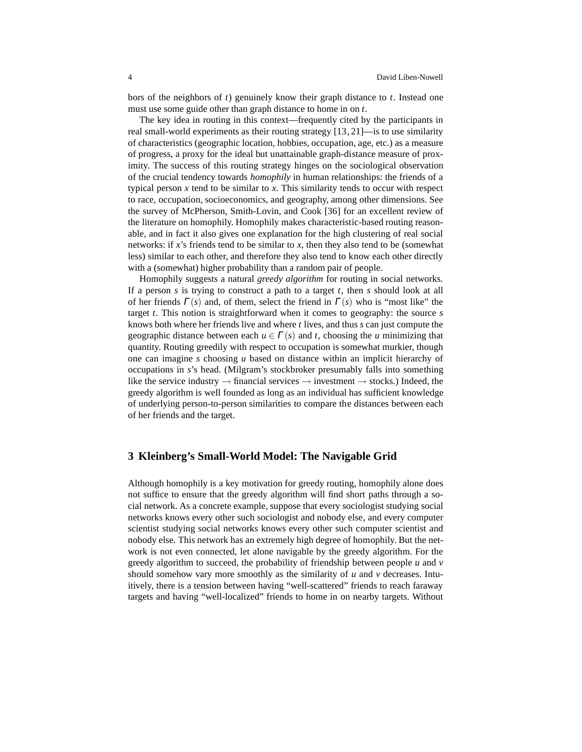bors of the neighbors of *t*) genuinely know their graph distance to *t*. Instead one must use some guide other than graph distance to home in on *t*.

The key idea in routing in this context—frequently cited by the participants in real small-world experiments as their routing strategy [13, 21]—is to use similarity of characteristics (geographic location, hobbies, occupation, age, etc.) as a measure of progress, a proxy for the ideal but unattainable graph-distance measure of proximity. The success of this routing strategy hinges on the sociological observation of the crucial tendency towards *homophily* in human relationships: the friends of a typical person  $x$  tend to be similar to  $x$ . This similarity tends to occur with respect to race, occupation, socioeconomics, and geography, among other dimensions. See the survey of McPherson, Smith-Lovin, and Cook [36] for an excellent review of the literature on homophily. Homophily makes characteristic-based routing reasonable, and in fact it also gives one explanation for the high clustering of real social networks: if *x*'s friends tend to be similar to *x*, then they also tend to be (somewhat less) similar to each other, and therefore they also tend to know each other directly with a (somewhat) higher probability than a random pair of people.

Homophily suggests a natural *greedy algorithm* for routing in social networks. If a person *s* is trying to construct a path to a target *t*, then *s* should look at all of her friends  $\Gamma(s)$  and, of them, select the friend in  $\Gamma(s)$  who is "most like" the target *t*. This notion is straightforward when it comes to geography: the source *s* knows both where her friends live and where *t* lives, and thus *s* can just compute the geographic distance between each  $u \in \Gamma(s)$  and *t*, choosing the *u* minimizing that quantity. Routing greedily with respect to occupation is somewhat murkier, though one can imagine *s* choosing *u* based on distance within an implicit hierarchy of occupations in *s*'s head. (Milgram's stockbroker presumably falls into something like the service industry  $\rightarrow$  financial services  $\rightarrow$  investment  $\rightarrow$  stocks.) Indeed, the greedy algorithm is well founded as long as an individual has sufficient knowledge of underlying person-to-person similarities to compare the distances between each of her friends and the target.

## **3 Kleinberg's Small-World Model: The Navigable Grid**

Although homophily is a key motivation for greedy routing, homophily alone does not suffice to ensure that the greedy algorithm will find short paths through a social network. As a concrete example, suppose that every sociologist studying social networks knows every other such sociologist and nobody else, and every computer scientist studying social networks knows every other such computer scientist and nobody else. This network has an extremely high degree of homophily. But the network is not even connected, let alone navigable by the greedy algorithm. For the greedy algorithm to succeed, the probability of friendship between people *u* and *v* should somehow vary more smoothly as the similarity of *u* and *v* decreases. Intuitively, there is a tension between having "well-scattered" friends to reach faraway targets and having "well-localized" friends to home in on nearby targets. Without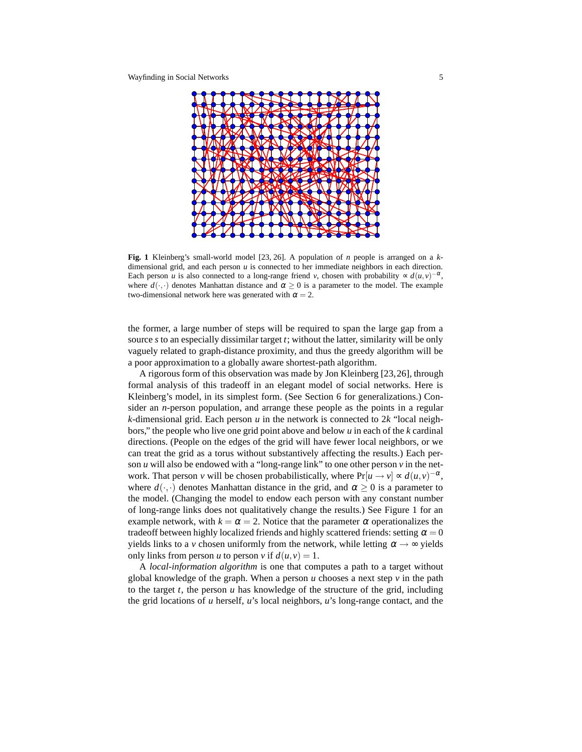

**Fig. 1** Kleinberg's small-world model [23, 26]. A population of *n* people is arranged on a *k*dimensional grid, and each person *u* is connected to her immediate neighbors in each direction. Each person *u* is also connected to a long-range friend *v*, chosen with probability  $\propto d(u, v)^{-\alpha}$ , where  $d(\cdot, \cdot)$  denotes Manhattan distance and  $\alpha \geq 0$  is a parameter to the model. The example two-dimensional network here was generated with  $\alpha = 2$ .

the former, a large number of steps will be required to span the large gap from a source *s* to an especially dissimilar target *t*; without the latter, similarity will be only vaguely related to graph-distance proximity, and thus the greedy algorithm will be a poor approximation to a globally aware shortest-path algorithm.

A rigorous form of this observation was made by Jon Kleinberg [23,26], through formal analysis of this tradeoff in an elegant model of social networks. Here is Kleinberg's model, in its simplest form. (See Section 6 for generalizations.) Consider an *n*-person population, and arrange these people as the points in a regular *k*-dimensional grid. Each person  $u$  in the network is connected to  $2k$  "local neighbors," the people who live one grid point above and below *u* in each of the *k* cardinal directions. (People on the edges of the grid will have fewer local neighbors, or we can treat the grid as a torus without substantively affecting the results.) Each person  $u$  will also be endowed with a "long-range link" to one other person  $v$  in the network. That person *v* will be chosen probabilistically, where  $Pr[u \rightarrow v] \propto d(u, v)^{-\alpha}$ , where  $d(\cdot, \cdot)$  denotes Manhattan distance in the grid, and  $\alpha \geq 0$  is a parameter to the model. (Changing the model to endow each person with any constant number of long-range links does not qualitatively change the results.) See Figure 1 for an example network, with  $k = \alpha = 2$ . Notice that the parameter  $\alpha$  operationalizes the tradeoff between highly localized friends and highly scattered friends: setting  $\alpha = 0$ yields links to a *v* chosen uniformly from the network, while letting  $\alpha \rightarrow \infty$  yields only links from person *u* to person *v* if  $d(u, v) = 1$ .

A *local-information algorithm* is one that computes a path to a target without global knowledge of the graph. When a person *u* chooses a next step *v* in the path to the target  $t$ , the person  $u$  has knowledge of the structure of the grid, including the grid locations of *u* herself, *u*'s local neighbors, *u*'s long-range contact, and the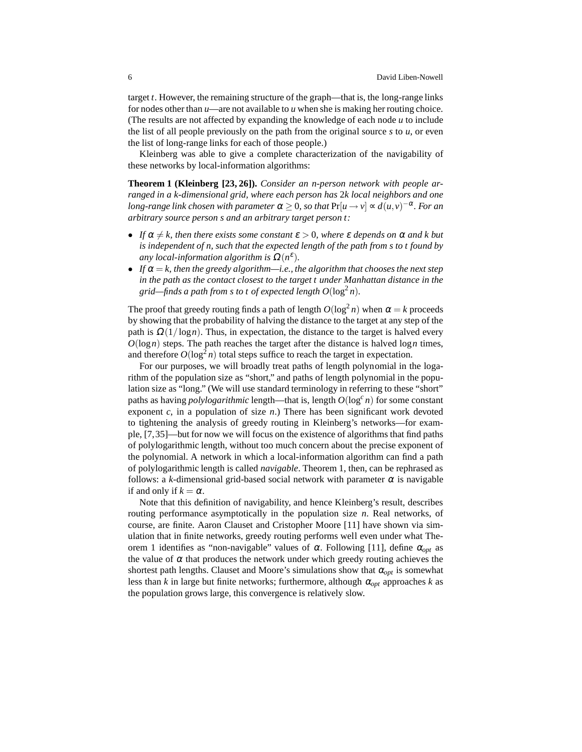target *t*. However, the remaining structure of the graph—that is, the long-range links for nodes other than *u*—are not available to *u* when she is making her routing choice. (The results are not affected by expanding the knowledge of each node *u* to include the list of all people previously on the path from the original source *s* to *u*, or even the list of long-range links for each of those people.)

Kleinberg was able to give a complete characterization of the navigability of these networks by local-information algorithms:

**Theorem 1 (Kleinberg [23, 26]).** *Consider an n-person network with people arranged in a k-dimensional grid, where each person has* 2*k local neighbors and one*  $long\text{-}range$  link chosen with parameter  $\alpha \geq 0$ , so that  $\Pr[u \to v] \thicksim d(u,v)^{-\alpha}$ . For an *arbitrary source person s and an arbitrary target person t:*

- *If*  $\alpha \neq k$ , then there exists some constant  $\varepsilon > 0$ , where  $\varepsilon$  depends on  $\alpha$  and k but *is independent of n, such that the expected length of the path from s to t found by* any local-information algorithm is  $\Omega(n^{\varepsilon}).$
- If  $\alpha = k$ , then the greedy algorithm—i.e., the algorithm that chooses the next step *in the path as the contact closest to the target t under Manhattan distance in the* grid—finds a path from  $s$  to  $t$  of expected length  $O(\log^2 n)$ .

The proof that greedy routing finds a path of length  $O(\log^2 n)$  when  $\alpha = k$  proceeds by showing that the probability of halving the distance to the target at any step of the path is  $\Omega(1/\log n)$ . Thus, in expectation, the distance to the target is halved every  $O(log n)$  steps. The path reaches the target after the distance is halved  $log n$  times, and therefore  $O(\log^2 n)$  total steps suffice to reach the target in expectation.

For our purposes, we will broadly treat paths of length polynomial in the logarithm of the population size as "short," and paths of length polynomial in the population size as "long." (We will use standard terminology in referring to these "short" paths as having *polylogarithmic* length—that is, length *O*(log*<sup>c</sup> n*) for some constant exponent *c*, in a population of size *n*.) There has been significant work devoted to tightening the analysis of greedy routing in Kleinberg's networks—for example, [7,35]—but for now we will focus on the existence of algorithms that find paths of polylogarithmic length, without too much concern about the precise exponent of the polynomial. A network in which a local-information algorithm can find a path of polylogarithmic length is called *navigable*. Theorem 1, then, can be rephrased as follows: a *k*-dimensional grid-based social network with parameter  $\alpha$  is navigable if and only if  $k = \alpha$ .

Note that this definition of navigability, and hence Kleinberg's result, describes routing performance asymptotically in the population size *n*. Real networks, of course, are finite. Aaron Clauset and Cristopher Moore [11] have shown via simulation that in finite networks, greedy routing performs well even under what Theorem 1 identifies as "non-navigable" values of <sup>α</sup>. Following [11], define <sup>α</sup>*opt* as the value of  $\alpha$  that produces the network under which greedy routing achieves the shortest path lengths. Clauset and Moore's simulations show that  $\alpha_{opt}$  is somewhat less than *k* in large but finite networks; furthermore, although  $\alpha_{opt}$  approaches *k* as the population grows large, this convergence is relatively slow.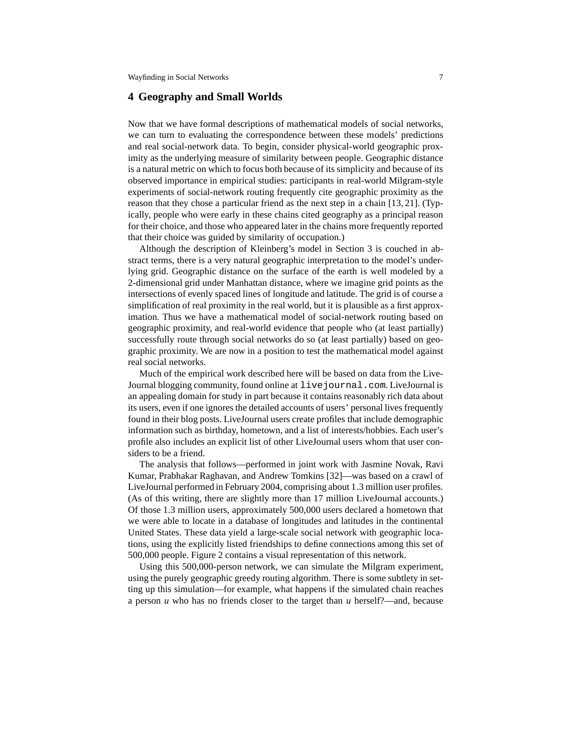#### **4 Geography and Small Worlds**

Now that we have formal descriptions of mathematical models of social networks, we can turn to evaluating the correspondence between these models' predictions and real social-network data. To begin, consider physical-world geographic proximity as the underlying measure of similarity between people. Geographic distance is a natural metric on which to focus both because of its simplicity and because of its observed importance in empirical studies: participants in real-world Milgram-style experiments of social-network routing frequently cite geographic proximity as the reason that they chose a particular friend as the next step in a chain [13, 21]. (Typically, people who were early in these chains cited geography as a principal reason for their choice, and those who appeared later in the chains more frequently reported that their choice was guided by similarity of occupation.)

Although the description of Kleinberg's model in Section 3 is couched in abstract terms, there is a very natural geographic interpretation to the model's underlying grid. Geographic distance on the surface of the earth is well modeled by a 2-dimensional grid under Manhattan distance, where we imagine grid points as the intersections of evenly spaced lines of longitude and latitude. The grid is of course a simplification of real proximity in the real world, but it is plausible as a first approximation. Thus we have a mathematical model of social-network routing based on geographic proximity, and real-world evidence that people who (at least partially) successfully route through social networks do so (at least partially) based on geographic proximity. We are now in a position to test the mathematical model against real social networks.

Much of the empirical work described here will be based on data from the Live-Journal blogging community, found online at livejournal.com. LiveJournal is an appealing domain for study in part because it contains reasonably rich data about its users, even if one ignores the detailed accounts of users' personal lives frequently found in their blog posts. LiveJournal users create profiles that include demographic information such as birthday, hometown, and a list of interests/hobbies. Each user's profile also includes an explicit list of other LiveJournal users whom that user considers to be a friend.

The analysis that follows—performed in joint work with Jasmine Novak, Ravi Kumar, Prabhakar Raghavan, and Andrew Tomkins [32]—was based on a crawl of LiveJournal performed in February 2004, comprising about 1.3 million user profiles. (As of this writing, there are slightly more than 17 million LiveJournal accounts.) Of those 1.3 million users, approximately 500,000 users declared a hometown that we were able to locate in a database of longitudes and latitudes in the continental United States. These data yield a large-scale social network with geographic locations, using the explicitly listed friendships to define connections among this set of 500,000 people. Figure 2 contains a visual representation of this network.

Using this 500,000-person network, we can simulate the Milgram experiment, using the purely geographic greedy routing algorithm. There is some subtlety in setting up this simulation—for example, what happens if the simulated chain reaches a person *u* who has no friends closer to the target than *u* herself?—and, because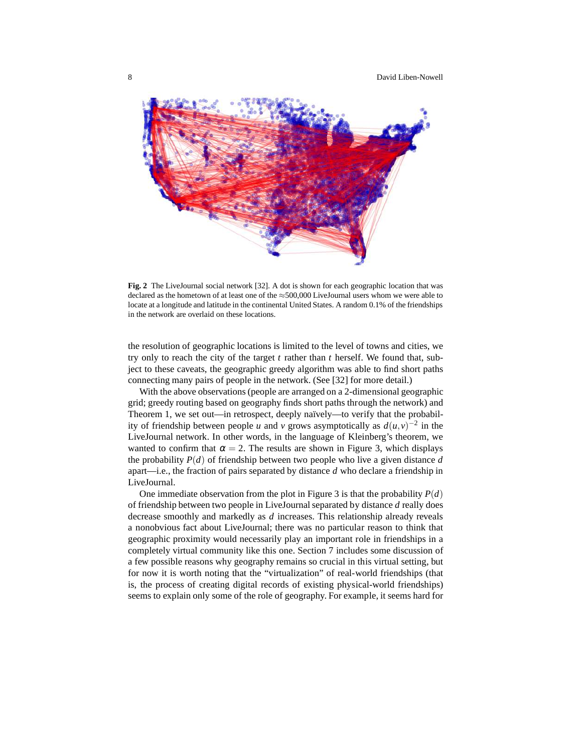

**Fig. 2** The LiveJournal social network [32]. A dot is shown for each geographic location that was declared as the hometown of at least one of the ≈500,000 LiveJournal users whom we were able to locate at a longitude and latitude in the continental United States. A random 0.1% of the friendships in the network are overlaid on these locations.

the resolution of geographic locations is limited to the level of towns and cities, we try only to reach the city of the target *t* rather than *t* herself. We found that, subject to these caveats, the geographic greedy algorithm was able to find short paths connecting many pairs of people in the network. (See [32] for more detail.)

With the above observations (people are arranged on a 2-dimensional geographic grid; greedy routing based on geography finds short paths through the network) and Theorem 1, we set out—in retrospect, deeply naïvely—to verify that the probability of friendship between people *u* and *v* grows asymptotically as  $d(u, v)^{-2}$  in the LiveJournal network. In other words, in the language of Kleinberg's theorem, we wanted to confirm that  $\alpha = 2$ . The results are shown in Figure 3, which displays the probability  $P(d)$  of friendship between two people who live a given distance  $d$ apart—i.e., the fraction of pairs separated by distance *d* who declare a friendship in LiveJournal.

One immediate observation from the plot in Figure 3 is that the probability  $P(d)$ of friendship between two people in LiveJournal separated by distance *d* really does decrease smoothly and markedly as *d* increases. This relationship already reveals a nonobvious fact about LiveJournal; there was no particular reason to think that geographic proximity would necessarily play an important role in friendships in a completely virtual community like this one. Section 7 includes some discussion of a few possible reasons why geography remains so crucial in this virtual setting, but for now it is worth noting that the "virtualization" of real-world friendships (that is, the process of creating digital records of existing physical-world friendships) seems to explain only some of the role of geography. For example, it seems hard for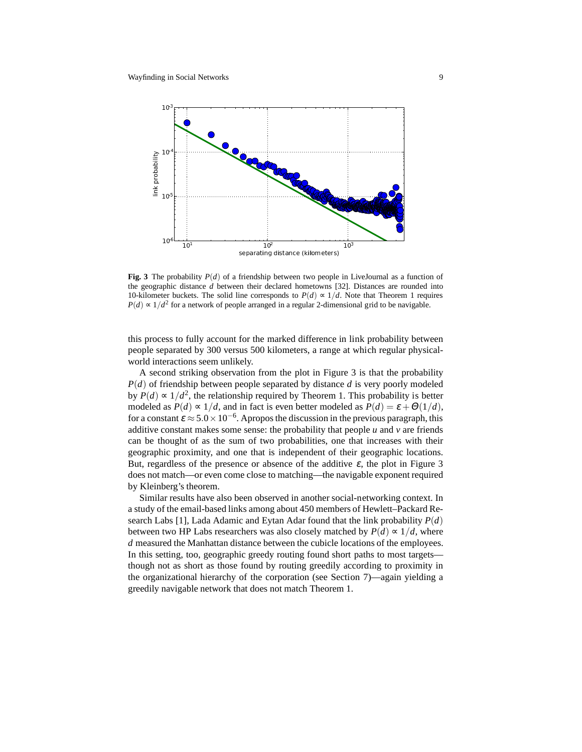

**Fig. 3** The probability *P*(*d*) of a friendship between two people in LiveJournal as a function of the geographic distance *d* between their declared hometowns [32]. Distances are rounded into 10-kilometer buckets. The solid line corresponds to  $P(d) \propto 1/d$ . Note that Theorem 1 requires  $P(d) \propto 1/d^2$  for a network of people arranged in a regular 2-dimensional grid to be navigable.

this process to fully account for the marked difference in link probability between people separated by 300 versus 500 kilometers, a range at which regular physicalworld interactions seem unlikely.

A second striking observation from the plot in Figure 3 is that the probability *P*(*d*) of friendship between people separated by distance *d* is very poorly modeled by  $P(d) \propto 1/d^2$ , the relationship required by Theorem 1. This probability is better modeled as  $P(d) \propto 1/d$ , and in fact is even better modeled as  $P(d) = \varepsilon + \Theta(1/d)$ , for a constant  $\varepsilon \approx 5.0 \times 10^{-6}$ . Apropos the discussion in the previous paragraph, this additive constant makes some sense: the probability that people  $u$  and  $v$  are friends can be thought of as the sum of two probabilities, one that increases with their geographic proximity, and one that is independent of their geographic locations. But, regardless of the presence or absence of the additive  $\varepsilon$ , the plot in Figure 3 does not match—or even come close to matching—the navigable exponent required by Kleinberg's theorem.

Similar results have also been observed in another social-networking context. In a study of the email-based links among about 450 members of Hewlett–Packard Research Labs [1], Lada Adamic and Eytan Adar found that the link probability *P*(*d*) between two HP Labs researchers was also closely matched by  $P(d) \propto 1/d$ , where *d* measured the Manhattan distance between the cubicle locations of the employees. In this setting, too, geographic greedy routing found short paths to most targets though not as short as those found by routing greedily according to proximity in the organizational hierarchy of the corporation (see Section 7)—again yielding a greedily navigable network that does not match Theorem 1.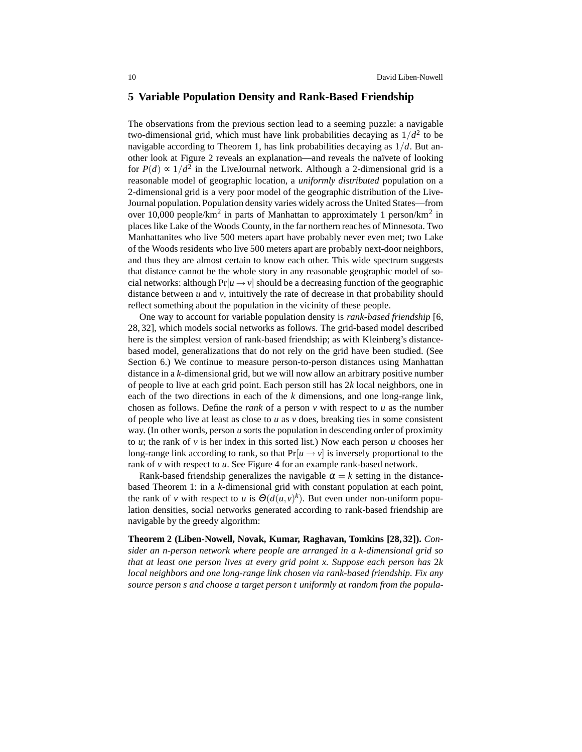#### **5 Variable Population Density and Rank-Based Friendship**

The observations from the previous section lead to a seeming puzzle: a navigable two-dimensional grid, which must have link probabilities decaying as  $1/d^2$  to be navigable according to Theorem 1, has link probabilities decaying as 1/*d*. But another look at Figure 2 reveals an explanation—and reveals the na¨ıvete of looking for  $P(d) \propto 1/d^2$  in the LiveJournal network. Although a 2-dimensional grid is a reasonable model of geographic location, a *uniformly distributed* population on a 2-dimensional grid is a very poor model of the geographic distribution of the Live-Journal population. Population density varies widely across the United States—from over 10,000 people/km<sup>2</sup> in parts of Manhattan to approximately 1 person/km<sup>2</sup> in places like Lake of the Woods County, in the far northern reaches of Minnesota. Two Manhattanites who live 500 meters apart have probably never even met; two Lake of the Woods residents who live 500 meters apart are probably next-door neighbors, and thus they are almost certain to know each other. This wide spectrum suggests that distance cannot be the whole story in any reasonable geographic model of social networks: although  $Pr[u \rightarrow v]$  should be a decreasing function of the geographic distance between  $u$  and  $v$ , intuitively the rate of decrease in that probability should reflect something about the population in the vicinity of these people.

One way to account for variable population density is *rank-based friendship* [6, 28, 32], which models social networks as follows. The grid-based model described here is the simplest version of rank-based friendship; as with Kleinberg's distancebased model, generalizations that do not rely on the grid have been studied. (See Section 6.) We continue to measure person-to-person distances using Manhattan distance in a *k*-dimensional grid, but we will now allow an arbitrary positive number of people to live at each grid point. Each person still has 2*k* local neighbors, one in each of the two directions in each of the *k* dimensions, and one long-range link, chosen as follows. Define the *rank* of a person *v* with respect to *u* as the number of people who live at least as close to *u* as *v* does, breaking ties in some consistent way. (In other words, person *u* sorts the population in descending order of proximity to  $u$ ; the rank of  $v$  is her index in this sorted list.) Now each person  $u$  chooses her long-range link according to rank, so that  $Pr[u \rightarrow v]$  is inversely proportional to the rank of *v* with respect to *u*. See Figure 4 for an example rank-based network.

Rank-based friendship generalizes the navigable  $\alpha = k$  setting in the distancebased Theorem 1: in a *k*-dimensional grid with constant population at each point, the rank of *v* with respect to *u* is  $\Theta(d(u, v)^k)$ . But even under non-uniform population densities, social networks generated according to rank-based friendship are navigable by the greedy algorithm:

**Theorem 2 (Liben-Nowell, Novak, Kumar, Raghavan, Tomkins [28, 32]).** *Consider an n-person network where people are arranged in a k-dimensional grid so that at least one person lives at every grid point x. Suppose each person has* 2*k local neighbors and one long-range link chosen via rank-based friendship. Fix any source person s and choose a target person t uniformly at random from the popula-*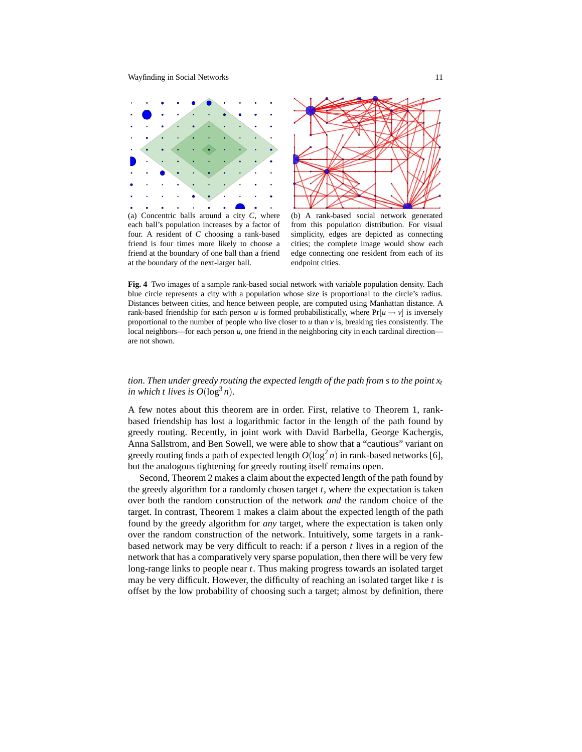

(a) Concentric balls around a city *C*, where each ball's population increases by a factor of four. A resident of *C* choosing a rank-based friend is four times more likely to choose a friend at the boundary of one ball than a friend at the boundary of the next-larger ball.



(b) A rank-based social network generated from this population distribution. For visual simplicity, edges are depicted as connecting cities; the complete image would show each edge connecting one resident from each of its endpoint cities.

**Fig. 4** Two images of a sample rank-based social network with variable population density. Each blue circle represents a city with a population whose size is proportional to the circle's radius. Distances between cities, and hence between people, are computed using Manhattan distance. A rank-based friendship for each person *u* is formed probabilistically, where  $Pr[u \rightarrow v]$  is inversely proportional to the number of people who live closer to *u* than *v* is, breaking ties consistently. The local neighbors—for each person *u*, one friend in the neighboring city in each cardinal direction are not shown.

#### *tion. Then under greedy routing the expected length of the path from s to the point x<sup>t</sup> in which t lives is*  $O(\log^3 n)$ *.*

A few notes about this theorem are in order. First, relative to Theorem 1, rankbased friendship has lost a logarithmic factor in the length of the path found by greedy routing. Recently, in joint work with David Barbella, George Kachergis, Anna Sallstrom, and Ben Sowell, we were able to show that a "cautious" variant on greedy routing finds a path of expected length  $O(\log^2 n)$  in rank-based networks [6], but the analogous tightening for greedy routing itself remains open.

Second, Theorem 2 makes a claim about the expected length of the path found by the greedy algorithm for a randomly chosen target *t*, where the expectation is taken over both the random construction of the network *and* the random choice of the target. In contrast, Theorem 1 makes a claim about the expected length of the path found by the greedy algorithm for *any* target, where the expectation is taken only over the random construction of the network. Intuitively, some targets in a rankbased network may be very difficult to reach: if a person *t* lives in a region of the network that has a comparatively very sparse population, then there will be very few long-range links to people near *t*. Thus making progress towards an isolated target may be very difficult. However, the difficulty of reaching an isolated target like *t* is offset by the low probability of choosing such a target; almost by definition, there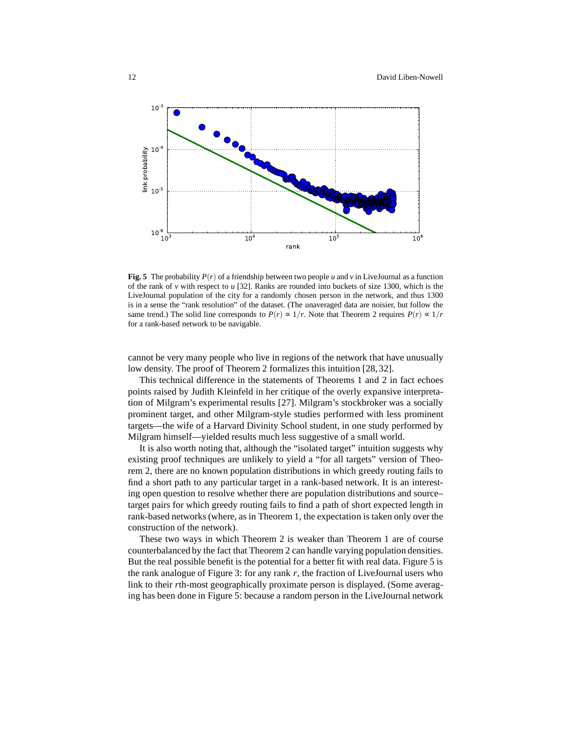

**Fig. 5** The probability  $P(r)$  of a friendship between two people *u* and *v* in LiveJournal as a function of the rank of *v* with respect to *u* [32]. Ranks are rounded into buckets of size 1300, which is the LiveJournal population of the city for a randomly chosen person in the network, and thus 1300 is in a sense the "rank resolution" of the dataset. (The unaveraged data are noisier, but follow the same trend.) The solid line corresponds to  $P(r) \propto 1/r$ . Note that Theorem 2 requires  $P(r) \propto 1/r$ for a rank-based network to be navigable.

cannot be very many people who live in regions of the network that have unusually low density. The proof of Theorem 2 formalizes this intuition [28, 32].

This technical difference in the statements of Theorems 1 and 2 in fact echoes points raised by Judith Kleinfeld in her critique of the overly expansive interpretation of Milgram's experimental results [27]. Milgram's stockbroker was a socially prominent target, and other Milgram-style studies performed with less prominent targets—the wife of a Harvard Divinity School student, in one study performed by Milgram himself—yielded results much less suggestive of a small world.

It is also worth noting that, although the "isolated target" intuition suggests why existing proof techniques are unlikely to yield a "for all targets" version of Theorem 2, there are no known population distributions in which greedy routing fails to find a short path to any particular target in a rank-based network. It is an interesting open question to resolve whether there are population distributions and source– target pairs for which greedy routing fails to find a path of short expected length in rank-based networks (where, as in Theorem 1, the expectation is taken only over the construction of the network).

These two ways in which Theorem 2 is weaker than Theorem 1 are of course counterbalanced by the fact that Theorem 2 can handle varying population densities. But the real possible benefit is the potential for a better fit with real data. Figure 5 is the rank analogue of Figure 3: for any rank *r*, the fraction of LiveJournal users who link to their *r*th-most geographically proximate person is displayed. (Some averaging has been done in Figure 5: because a random person in the LiveJournal network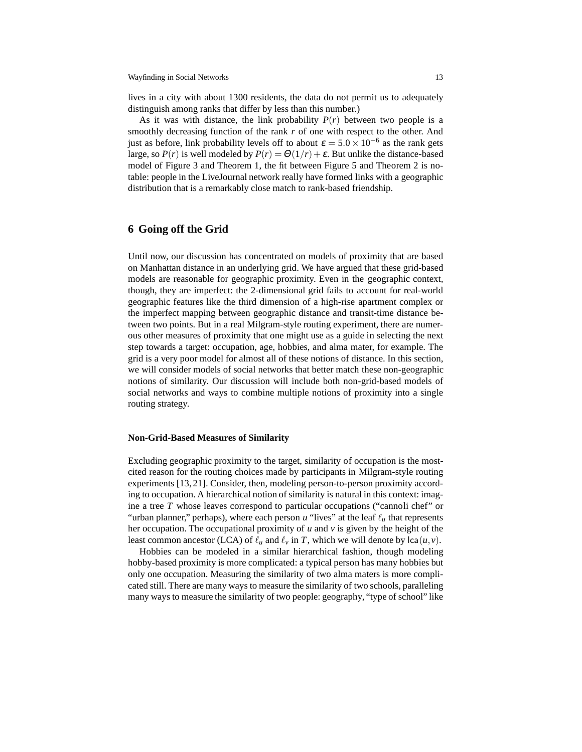lives in a city with about 1300 residents, the data do not permit us to adequately distinguish among ranks that differ by less than this number.)

As it was with distance, the link probability  $P(r)$  between two people is a smoothly decreasing function of the rank *r* of one with respect to the other. And just as before, link probability levels off to about  $\varepsilon = 5.0 \times 10^{-6}$  as the rank gets large, so  $P(r)$  is well modeled by  $P(r) = \Theta(1/r) + \varepsilon$ . But unlike the distance-based model of Figure 3 and Theorem 1, the fit between Figure 5 and Theorem 2 is notable: people in the LiveJournal network really have formed links with a geographic distribution that is a remarkably close match to rank-based friendship.

## **6 Going off the Grid**

Until now, our discussion has concentrated on models of proximity that are based on Manhattan distance in an underlying grid. We have argued that these grid-based models are reasonable for geographic proximity. Even in the geographic context, though, they are imperfect: the 2-dimensional grid fails to account for real-world geographic features like the third dimension of a high-rise apartment complex or the imperfect mapping between geographic distance and transit-time distance between two points. But in a real Milgram-style routing experiment, there are numerous other measures of proximity that one might use as a guide in selecting the next step towards a target: occupation, age, hobbies, and alma mater, for example. The grid is a very poor model for almost all of these notions of distance. In this section, we will consider models of social networks that better match these non-geographic notions of similarity. Our discussion will include both non-grid-based models of social networks and ways to combine multiple notions of proximity into a single routing strategy.

#### **Non-Grid-Based Measures of Similarity**

Excluding geographic proximity to the target, similarity of occupation is the mostcited reason for the routing choices made by participants in Milgram-style routing experiments [13, 21]. Consider, then, modeling person-to-person proximity according to occupation. A hierarchical notion of similarity is natural in this context: imagine a tree *T* whose leaves correspond to particular occupations ("cannoli chef" or "urban planner," perhaps), where each person  $u$  "lives" at the leaf  $\ell_u$  that represents her occupation. The occupational proximity of *u* and *v* is given by the height of the least common ancestor (LCA) of  $\ell_u$  and  $\ell_v$  in *T*, which we will denote by  $|ca(u, v)|$ .

Hobbies can be modeled in a similar hierarchical fashion, though modeling hobby-based proximity is more complicated: a typical person has many hobbies but only one occupation. Measuring the similarity of two alma maters is more complicated still. There are many ways to measure the similarity of two schools, paralleling many ways to measure the similarity of two people: geography, "type of school" like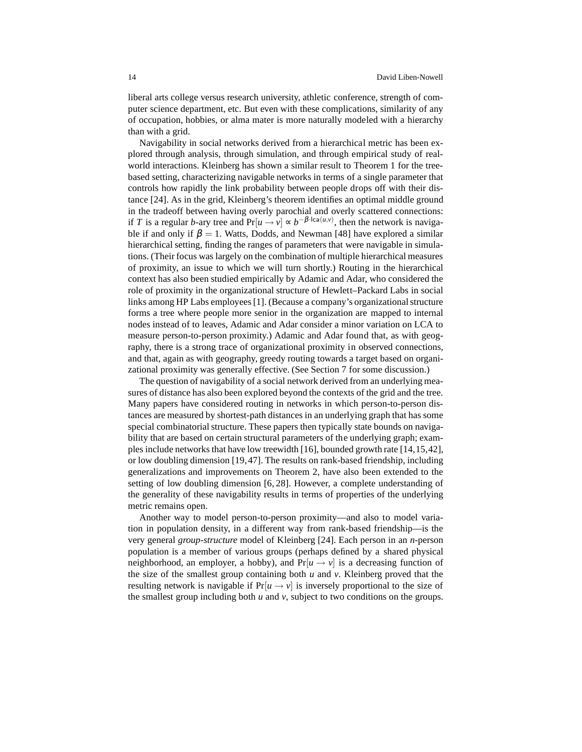liberal arts college versus research university, athletic conference, strength of computer science department, etc. But even with these complications, similarity of any of occupation, hobbies, or alma mater is more naturally modeled with a hierarchy than with a grid.

Navigability in social networks derived from a hierarchical metric has been explored through analysis, through simulation, and through empirical study of realworld interactions. Kleinberg has shown a similar result to Theorem 1 for the treebased setting, characterizing navigable networks in terms of a single parameter that controls how rapidly the link probability between people drops off with their distance [24]. As in the grid, Kleinberg's theorem identifies an optimal middle ground in the tradeoff between having overly parochial and overly scattered connections: if *T* is a regular *b*-ary tree and  $Pr[u \rightarrow v] \propto b^{-\beta \cdot \text{lca}(u,v)}$ , then the network is navigable if and only if  $\beta = 1$ . Watts, Dodds, and Newman [48] have explored a similar hierarchical setting, finding the ranges of parameters that were navigable in simulations. (Their focus was largely on the combination of multiple hierarchical measures of proximity, an issue to which we will turn shortly.) Routing in the hierarchical context has also been studied empirically by Adamic and Adar, who considered the role of proximity in the organizational structure of Hewlett–Packard Labs in social links among HP Labs employees [1]. (Because a company's organizational structure forms a tree where people more senior in the organization are mapped to internal nodes instead of to leaves, Adamic and Adar consider a minor variation on LCA to measure person-to-person proximity.) Adamic and Adar found that, as with geography, there is a strong trace of organizational proximity in observed connections, and that, again as with geography, greedy routing towards a target based on organizational proximity was generally effective. (See Section 7 for some discussion.)

The question of navigability of a social network derived from an underlying measures of distance has also been explored beyond the contexts of the grid and the tree. Many papers have considered routing in networks in which person-to-person distances are measured by shortest-path distances in an underlying graph that has some special combinatorial structure. These papers then typically state bounds on navigability that are based on certain structural parameters of the underlying graph; examples include networks that have low treewidth [16], bounded growth rate [14,15,42], or low doubling dimension [19,47]. The results on rank-based friendship, including generalizations and improvements on Theorem 2, have also been extended to the setting of low doubling dimension [6, 28]. However, a complete understanding of the generality of these navigability results in terms of properties of the underlying metric remains open.

Another way to model person-to-person proximity—and also to model variation in population density, in a different way from rank-based friendship—is the very general *group-structure* model of Kleinberg [24]. Each person in an *n*-person population is a member of various groups (perhaps defined by a shared physical neighborhood, an employer, a hobby), and  $Pr[u \rightarrow v]$  is a decreasing function of the size of the smallest group containing both *u* and *v*. Kleinberg proved that the resulting network is navigable if  $Pr[u \rightarrow v]$  is inversely proportional to the size of the smallest group including both  $u$  and  $v$ , subject to two conditions on the groups.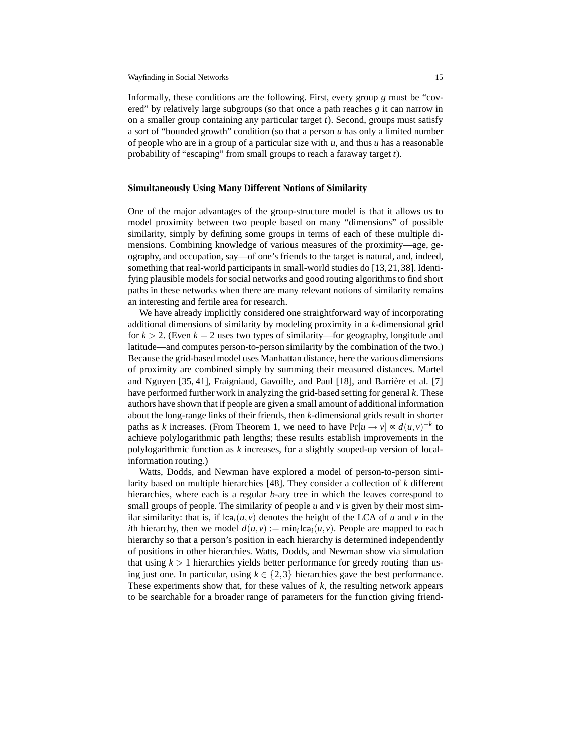Informally, these conditions are the following. First, every group *g* must be "covered" by relatively large subgroups (so that once a path reaches *g* it can narrow in on a smaller group containing any particular target *t*). Second, groups must satisfy a sort of "bounded growth" condition (so that a person *u* has only a limited number of people who are in a group of a particular size with *u*, and thus *u* has a reasonable probability of "escaping" from small groups to reach a faraway target *t*).

#### **Simultaneously Using Many Different Notions of Similarity**

One of the major advantages of the group-structure model is that it allows us to model proximity between two people based on many "dimensions" of possible similarity, simply by defining some groups in terms of each of these multiple dimensions. Combining knowledge of various measures of the proximity—age, geography, and occupation, say—of one's friends to the target is natural, and, indeed, something that real-world participants in small-world studies do [13,21,38]. Identifying plausible models for social networks and good routing algorithms to find short paths in these networks when there are many relevant notions of similarity remains an interesting and fertile area for research.

We have already implicitly considered one straightforward way of incorporating additional dimensions of similarity by modeling proximity in a *k*-dimensional grid for  $k > 2$ . (Even  $k = 2$  uses two types of similarity—for geography, longitude and latitude—and computes person-to-person similarity by the combination of the two.) Because the grid-based model uses Manhattan distance, here the various dimensions of proximity are combined simply by summing their measured distances. Martel and Nguyen [35, 41], Fraigniaud, Gavoille, and Paul [18], and Barrière et al. [7] have performed further work in analyzing the grid-based setting for general *k*. These authors have shown that if people are given a small amount of additional information about the long-range links of their friends, then *k*-dimensional grids result in shorter paths as *k* increases. (From Theorem 1, we need to have  $Pr[u \rightarrow v] \propto d(u, v)^{-k}$  to achieve polylogarithmic path lengths; these results establish improvements in the polylogarithmic function as *k* increases, for a slightly souped-up version of localinformation routing.)

Watts, Dodds, and Newman have explored a model of person-to-person similarity based on multiple hierarchies [48]. They consider a collection of *k* different hierarchies, where each is a regular *b*-ary tree in which the leaves correspond to small groups of people. The similarity of people *u* and *v* is given by their most similar similarity: that is, if  $|ca_i(u, v)|$  denotes the height of the LCA of *u* and *v* in the *i*th hierarchy, then we model  $d(u, v) := \min_i \text{lca}_i(u, v)$ . People are mapped to each hierarchy so that a person's position in each hierarchy is determined independently of positions in other hierarchies. Watts, Dodds, and Newman show via simulation that using  $k > 1$  hierarchies yields better performance for greedy routing than using just one. In particular, using  $k \in \{2,3\}$  hierarchies gave the best performance. These experiments show that, for these values of *k*, the resulting network appears to be searchable for a broader range of parameters for the function giving friend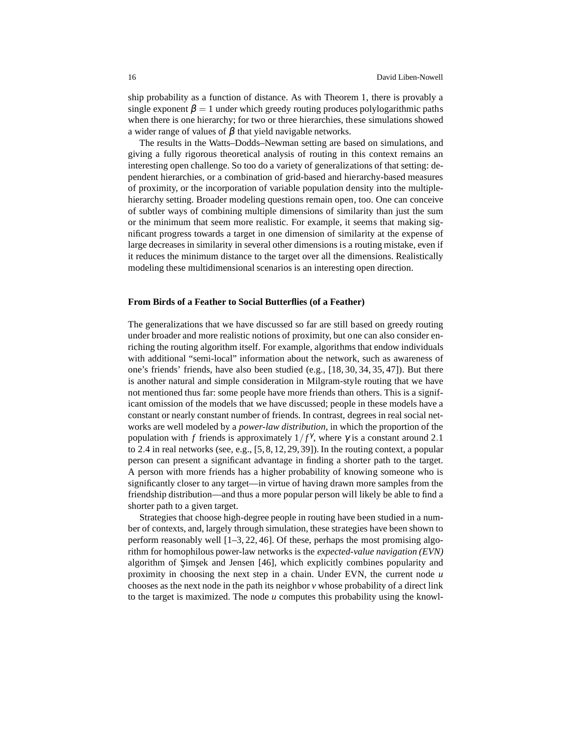ship probability as a function of distance. As with Theorem 1, there is provably a single exponent  $\beta = 1$  under which greedy routing produces polylogarithmic paths when there is one hierarchy; for two or three hierarchies, these simulations showed a wider range of values of β that yield navigable networks.

The results in the Watts–Dodds–Newman setting are based on simulations, and giving a fully rigorous theoretical analysis of routing in this context remains an interesting open challenge. So too do a variety of generalizations of that setting: dependent hierarchies, or a combination of grid-based and hierarchy-based measures of proximity, or the incorporation of variable population density into the multiplehierarchy setting. Broader modeling questions remain open, too. One can conceive of subtler ways of combining multiple dimensions of similarity than just the sum or the minimum that seem more realistic. For example, it seems that making significant progress towards a target in one dimension of similarity at the expense of large decreases in similarity in several other dimensions is a routing mistake, even if it reduces the minimum distance to the target over all the dimensions. Realistically modeling these multidimensional scenarios is an interesting open direction.

#### **From Birds of a Feather to Social Butterflies (of a Feather)**

The generalizations that we have discussed so far are still based on greedy routing under broader and more realistic notions of proximity, but one can also consider enriching the routing algorithm itself. For example, algorithms that endow individuals with additional "semi-local" information about the network, such as awareness of one's friends' friends, have also been studied (e.g., [18, 30, 34, 35, 47]). But there is another natural and simple consideration in Milgram-style routing that we have not mentioned thus far: some people have more friends than others. This is a significant omission of the models that we have discussed; people in these models have a constant or nearly constant number of friends. In contrast, degrees in real social networks are well modeled by a *power-law distribution*, in which the proportion of the population with *f* friends is approximately  $1/f<sup>γ</sup>$ , where  $γ$  is a constant around 2.1 to 2.4 in real networks (see, e.g., [5, 8, 12, 29, 39]). In the routing context, a popular person can present a significant advantage in finding a shorter path to the target. A person with more friends has a higher probability of knowing someone who is significantly closer to any target—in virtue of having drawn more samples from the friendship distribution—and thus a more popular person will likely be able to find a shorter path to a given target.

Strategies that choose high-degree people in routing have been studied in a number of contexts, and, largely through simulation, these strategies have been shown to perform reasonably well [1–3, 22, 46]. Of these, perhaps the most promising algorithm for homophilous power-law networks is the *expected-value navigation (EVN)* algorithm of Şimşek and Jensen [46], which explicitly combines popularity and proximity in choosing the next step in a chain. Under EVN, the current node *u* chooses as the next node in the path its neighbor *v* whose probability of a direct link to the target is maximized. The node *u* computes this probability using the knowl-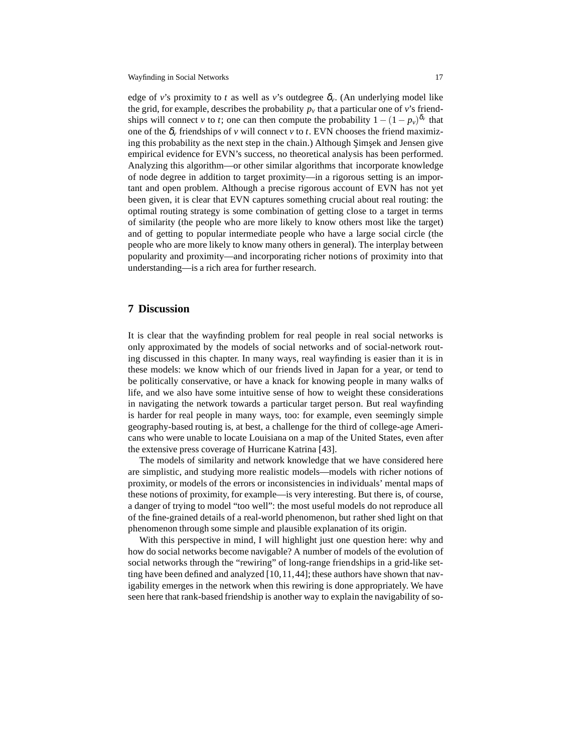edge of *v*'s proximity to *t* as well as *v*'s outdegree  $\delta_{v}$ . (An underlying model like the grid, for example, describes the probability  $p<sub>v</sub>$  that a particular one of *v*'s friendships will connect *v* to *t*; one can then compute the probability  $1 - (1 - p_v)^{\delta_v}$  that one of the  $\delta_{\nu}$  friendships of  $\nu$  will connect  $\nu$  to  $t$ . EVN chooses the friend maximizing this probability as the next step in the chain.) Although Simsek and Jensen give empirical evidence for EVN's success, no theoretical analysis has been performed. Analyzing this algorithm—or other similar algorithms that incorporate knowledge of node degree in addition to target proximity—in a rigorous setting is an important and open problem. Although a precise rigorous account of EVN has not yet been given, it is clear that EVN captures something crucial about real routing: the optimal routing strategy is some combination of getting close to a target in terms of similarity (the people who are more likely to know others most like the target) and of getting to popular intermediate people who have a large social circle (the people who are more likely to know many others in general). The interplay between popularity and proximity—and incorporating richer notions of proximity into that understanding—is a rich area for further research.

## **7 Discussion**

It is clear that the wayfinding problem for real people in real social networks is only approximated by the models of social networks and of social-network routing discussed in this chapter. In many ways, real wayfinding is easier than it is in these models: we know which of our friends lived in Japan for a year, or tend to be politically conservative, or have a knack for knowing people in many walks of life, and we also have some intuitive sense of how to weight these considerations in navigating the network towards a particular target person. But real wayfinding is harder for real people in many ways, too: for example, even seemingly simple geography-based routing is, at best, a challenge for the third of college-age Americans who were unable to locate Louisiana on a map of the United States, even after the extensive press coverage of Hurricane Katrina [43].

The models of similarity and network knowledge that we have considered here are simplistic, and studying more realistic models—models with richer notions of proximity, or models of the errors or inconsistencies in individuals' mental maps of these notions of proximity, for example—is very interesting. But there is, of course, a danger of trying to model "too well": the most useful models do not reproduce all of the fine-grained details of a real-world phenomenon, but rather shed light on that phenomenon through some simple and plausible explanation of its origin.

With this perspective in mind, I will highlight just one question here: why and how do social networks become navigable? A number of models of the evolution of social networks through the "rewiring" of long-range friendships in a grid-like setting have been defined and analyzed [10,11,44]; these authors have shown that navigability emerges in the network when this rewiring is done appropriately. We have seen here that rank-based friendship is another way to explain the navigability of so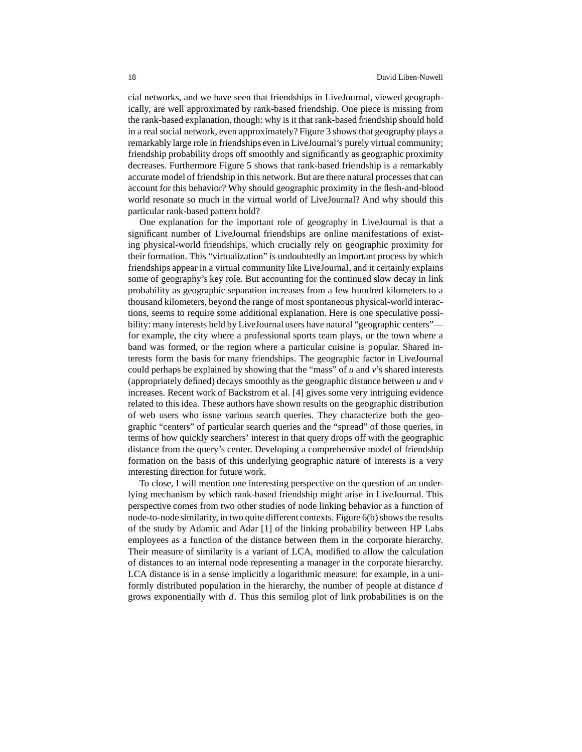cial networks, and we have seen that friendships in LiveJournal, viewed geographically, are well approximated by rank-based friendship. One piece is missing from the rank-based explanation, though: why is it that rank-based friendship should hold in a real social network, even approximately? Figure 3 shows that geography plays a remarkably large role in friendships even in LiveJournal's purely virtual community; friendship probability drops off smoothly and significantly as geographic proximity decreases. Furthermore Figure 5 shows that rank-based friendship is a remarkably accurate model of friendship in this network. But are there natural processes that can account for this behavior? Why should geographic proximity in the flesh-and-blood world resonate so much in the virtual world of LiveJournal? And why should this particular rank-based pattern hold?

One explanation for the important role of geography in LiveJournal is that a significant number of LiveJournal friendships are online manifestations of existing physical-world friendships, which crucially rely on geographic proximity for their formation. This "virtualization" is undoubtedly an important process by which friendships appear in a virtual community like LiveJournal, and it certainly explains some of geography's key role. But accounting for the continued slow decay in link probability as geographic separation increases from a few hundred kilometers to a thousand kilometers, beyond the range of most spontaneous physical-world interactions, seems to require some additional explanation. Here is one speculative possibility: many interests held by LiveJournal users have natural "geographic centers" for example, the city where a professional sports team plays, or the town where a band was formed, or the region where a particular cuisine is popular. Shared interests form the basis for many friendships. The geographic factor in LiveJournal could perhaps be explained by showing that the "mass" of *u* and *v*'s shared interests (appropriately defined) decays smoothly as the geographic distance between *u* and *v* increases. Recent work of Backstrom et al. [4] gives some very intriguing evidence related to this idea. These authors have shown results on the geographic distribution of web users who issue various search queries. They characterize both the geographic "centers" of particular search queries and the "spread" of those queries, in terms of how quickly searchers' interest in that query drops off with the geographic distance from the query's center. Developing a comprehensive model of friendship formation on the basis of this underlying geographic nature of interests is a very interesting direction for future work.

To close, I will mention one interesting perspective on the question of an underlying mechanism by which rank-based friendship might arise in LiveJournal. This perspective comes from two other studies of node linking behavior as a function of node-to-node similarity, in two quite different contexts. Figure 6(b) shows the results of the study by Adamic and Adar [1] of the linking probability between HP Labs employees as a function of the distance between them in the corporate hierarchy. Their measure of similarity is a variant of LCA, modified to allow the calculation of distances to an internal node representing a manager in the corporate hierarchy. LCA distance is in a sense implicitly a logarithmic measure: for example, in a uniformly distributed population in the hierarchy, the number of people at distance *d* grows exponentially with *d*. Thus this semilog plot of link probabilities is on the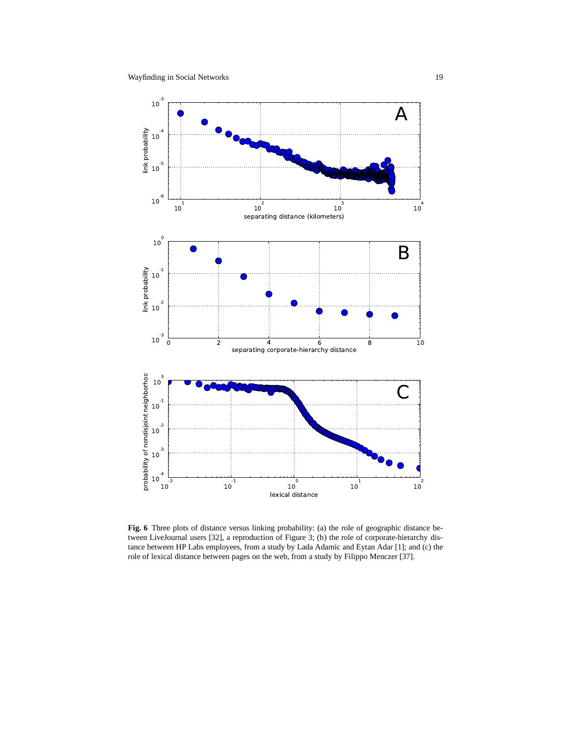

Fig. 6 Three plots of distance versus linking probability: (a) the role of geographic distance between LiveJournal users [32], a reproduction of Figure 3; (b) the role of corporate-hierarchy distance between HP Labs employees, from a study by Lada Adamic and Eytan Adar [1]; and (c) the role of lexical distance between pages on the web, from a study by Filippo Menczer [37].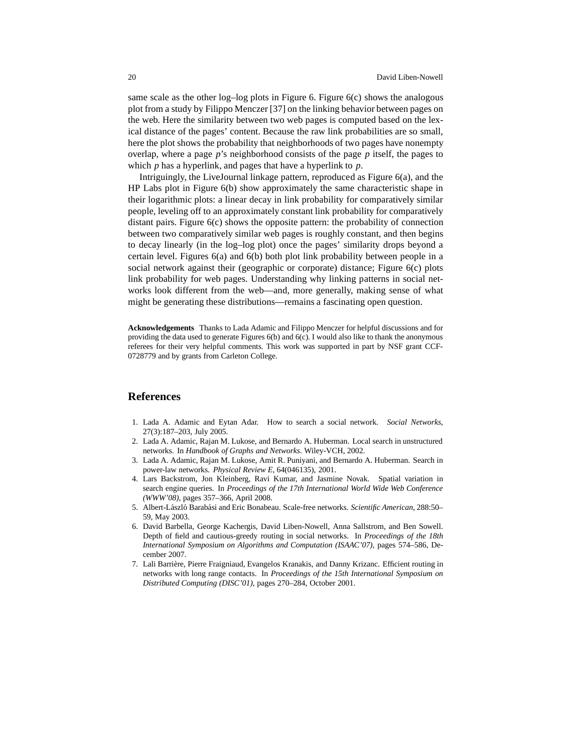same scale as the other  $log-log$  plots in Figure 6. Figure 6(c) shows the analogous plot from a study by Filippo Menczer [37] on the linking behavior between pages on the web. Here the similarity between two web pages is computed based on the lexical distance of the pages' content. Because the raw link probabilities are so small, here the plot shows the probability that neighborhoods of two pages have nonempty overlap, where a page *p*'s neighborhood consists of the page *p* itself, the pages to which *p* has a hyperlink, and pages that have a hyperlink to *p*.

Intriguingly, the LiveJournal linkage pattern, reproduced as Figure 6(a), and the HP Labs plot in Figure 6(b) show approximately the same characteristic shape in their logarithmic plots: a linear decay in link probability for comparatively similar people, leveling off to an approximately constant link probability for comparatively distant pairs. Figure 6(c) shows the opposite pattern: the probability of connection between two comparatively similar web pages is roughly constant, and then begins to decay linearly (in the log–log plot) once the pages' similarity drops beyond a certain level. Figures 6(a) and 6(b) both plot link probability between people in a social network against their (geographic or corporate) distance; Figure 6(c) plots link probability for web pages. Understanding why linking patterns in social networks look different from the web—and, more generally, making sense of what might be generating these distributions—remains a fascinating open question.

**Acknowledgements** Thanks to Lada Adamic and Filippo Menczer for helpful discussions and for providing the data used to generate Figures  $6(b)$  and  $6(c)$ . I would also like to thank the anonymous referees for their very helpful comments. This work was supported in part by NSF grant CCF-0728779 and by grants from Carleton College.

## **References**

- 1. Lada A. Adamic and Eytan Adar. How to search a social network. *Social Networks*, 27(3):187–203, July 2005.
- 2. Lada A. Adamic, Rajan M. Lukose, and Bernardo A. Huberman. Local search in unstructured networks. In *Handbook of Graphs and Networks*. Wiley-VCH, 2002.
- 3. Lada A. Adamic, Rajan M. Lukose, Amit R. Puniyani, and Bernardo A. Huberman. Search in power-law networks. *Physical Review E*, 64(046135), 2001.
- 4. Lars Backstrom, Jon Kleinberg, Ravi Kumar, and Jasmine Novak. Spatial variation in search engine queries. In *Proceedings of the 17th International World Wide Web Conference (WWW'08)*, pages 357–366, April 2008.
- 5. Albert-László Barabási and Eric Bonabeau. Scale-free networks. *Scientific American*, 288:50-59, May 2003.
- 6. David Barbella, George Kachergis, David Liben-Nowell, Anna Sallstrom, and Ben Sowell. Depth of field and cautious-greedy routing in social networks. In *Proceedings of the 18th International Symposium on Algorithms and Computation (ISAAC'07)*, pages 574–586, December 2007.
- 7. Lali Barrière, Pierre Fraigniaud, Evangelos Kranakis, and Danny Krizanc. Efficient routing in networks with long range contacts. In *Proceedings of the 15th International Symposium on Distributed Computing (DISC'01)*, pages 270–284, October 2001.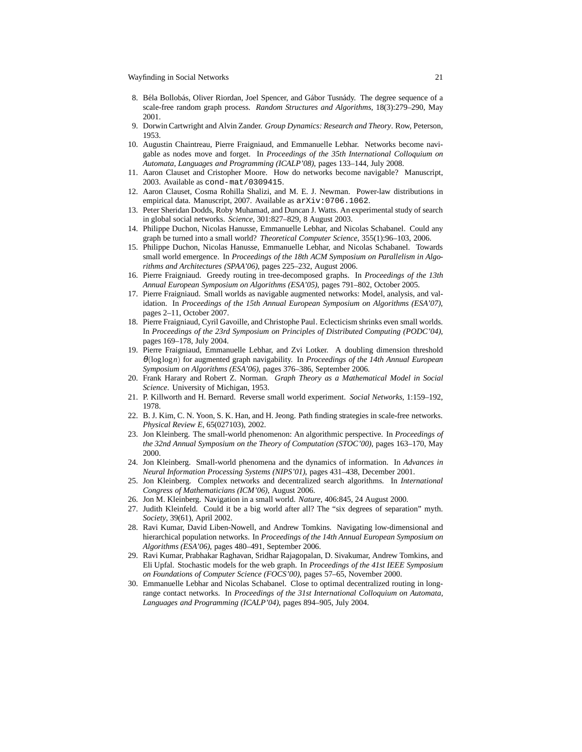- 8. Béla Bollobás, Oliver Riordan, Joel Spencer, and Gábor Tusnády. The degree sequence of a scale-free random graph process. *Random Structures and Algorithms*, 18(3):279–290, May 2001.
- 9. Dorwin Cartwright and Alvin Zander. *Group Dynamics: Research and Theory*. Row, Peterson, 1953.
- 10. Augustin Chaintreau, Pierre Fraigniaud, and Emmanuelle Lebhar. Networks become navigable as nodes move and forget. In *Proceedings of the 35th International Colloquium on Automata, Languages and Programming (ICALP'08)*, pages 133–144, July 2008.
- 11. Aaron Clauset and Cristopher Moore. How do networks become navigable? Manuscript, 2003. Available as cond-mat/0309415.
- 12. Aaron Clauset, Cosma Rohilla Shalizi, and M. E. J. Newman. Power-law distributions in empirical data. Manuscript, 2007. Available as arXiv:0706.1062.
- 13. Peter Sheridan Dodds, Roby Muhamad, and Duncan J. Watts. An experimental study of search in global social networks. *Science*, 301:827–829, 8 August 2003.
- 14. Philippe Duchon, Nicolas Hanusse, Emmanuelle Lebhar, and Nicolas Schabanel. Could any graph be turned into a small world? *Theoretical Computer Science*, 355(1):96–103, 2006.
- 15. Philippe Duchon, Nicolas Hanusse, Emmanuelle Lebhar, and Nicolas Schabanel. Towards small world emergence. In *Proceedings of the 18th ACM Symposium on Parallelism in Algorithms and Architectures (SPAA'06)*, pages 225–232, August 2006.
- 16. Pierre Fraigniaud. Greedy routing in tree-decomposed graphs. In *Proceedings of the 13th Annual European Symposium on Algorithms (ESA'05)*, pages 791–802, October 2005.
- 17. Pierre Fraigniaud. Small worlds as navigable augmented networks: Model, analysis, and validation. In *Proceedings of the 15th Annual European Symposium on Algorithms (ESA'07)*, pages 2–11, October 2007.
- 18. Pierre Fraigniaud, Cyril Gavoille, and Christophe Paul. Eclecticism shrinks even small worlds. In *Proceedings of the 23rd Symposium on Principles of Distributed Computing (PODC'04)*, pages 169–178, July 2004.
- 19. Pierre Fraigniaud, Emmanuelle Lebhar, and Zvi Lotker. A doubling dimension threshold <sup>θ</sup>(loglog*n*) for augmented graph navigability. In *Proceedings of the 14th Annual European Symposium on Algorithms (ESA'06)*, pages 376–386, September 2006.
- 20. Frank Harary and Robert Z. Norman. *Graph Theory as a Mathematical Model in Social Science*. University of Michigan, 1953.
- 21. P. Killworth and H. Bernard. Reverse small world experiment. *Social Networks*, 1:159–192, 1978.
- 22. B. J. Kim, C. N. Yoon, S. K. Han, and H. Jeong. Path finding strategies in scale-free networks. *Physical Review E*, 65(027103), 2002.
- 23. Jon Kleinberg. The small-world phenomenon: An algorithmic perspective. In *Proceedings of the 32nd Annual Symposium on the Theory of Computation (STOC'00)*, pages 163–170, May 2000.
- 24. Jon Kleinberg. Small-world phenomena and the dynamics of information. In *Advances in Neural Information Processing Systems (NIPS'01)*, pages 431–438, December 2001.
- 25. Jon Kleinberg. Complex networks and decentralized search algorithms. In *International Congress of Mathematicians (ICM'06)*, August 2006.
- 26. Jon M. Kleinberg. Navigation in a small world. *Nature*, 406:845, 24 August 2000.
- 27. Judith Kleinfeld. Could it be a big world after all? The "six degrees of separation" myth. *Society*, 39(61), April 2002.
- 28. Ravi Kumar, David Liben-Nowell, and Andrew Tomkins. Navigating low-dimensional and hierarchical population networks. In *Proceedings of the 14th Annual European Symposium on Algorithms (ESA'06)*, pages 480–491, September 2006.
- 29. Ravi Kumar, Prabhakar Raghavan, Sridhar Rajagopalan, D. Sivakumar, Andrew Tomkins, and Eli Upfal. Stochastic models for the web graph. In *Proceedings of the 41st IEEE Symposium on Foundations of Computer Science (FOCS'00)*, pages 57–65, November 2000.
- 30. Emmanuelle Lebhar and Nicolas Schabanel. Close to optimal decentralized routing in longrange contact networks. In *Proceedings of the 31st International Colloquium on Automata, Languages and Programming (ICALP'04)*, pages 894–905, July 2004.